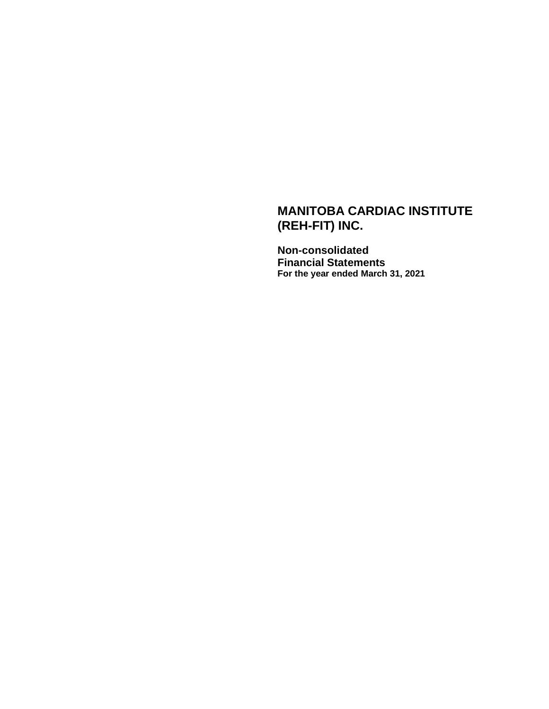# **MANITOBA CARDIAC INSTITUTE (REH-FIT) INC.**

**Non-consolidated Financial Statements For the year ended March 31, 2021**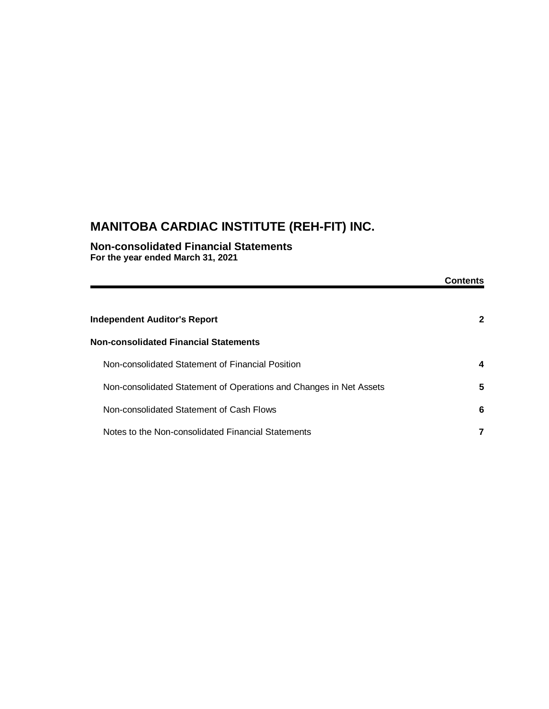# **MANITOBA CARDIAC INSTITUTE (REH-FIT) INC.**

**Non-consolidated Financial Statements For the year ended March 31, 2021**

|                                                                    | Contents     |
|--------------------------------------------------------------------|--------------|
| <b>Independent Auditor's Report</b>                                | $\mathbf{2}$ |
| <b>Non-consolidated Financial Statements</b>                       |              |
| Non-consolidated Statement of Financial Position                   | 4            |
| Non-consolidated Statement of Operations and Changes in Net Assets | 5            |
| Non-consolidated Statement of Cash Flows                           | 6            |
| Notes to the Non-consolidated Financial Statements                 |              |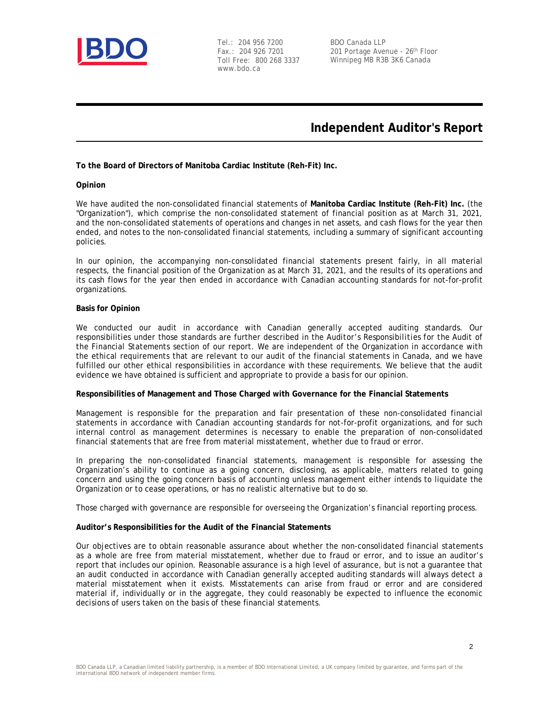

Tel.: 204 956 7200 Fax.: 204 926 7201 Toll Free: 800 268 3337 www.bdo.ca

BDO Canada LLP 201 Portage Avenue - 26<sup>th</sup> Floor Winnipeg MB R3B 3K6 Canada

## **Independent Auditor's Report**

**To the Board of Directors of Manitoba Cardiac Institute (Reh-Fit) Inc.**

#### **Opinion**

We have audited the non-consolidated financial statements of **Manitoba Cardiac Institute (Reh-Fit) Inc.** (the "Organization"), which comprise the non-consolidated statement of financial position as at March 31, 2021, and the non-consolidated statements of operations and changes in net assets, and cash flows for the year then ended, and notes to the non-consolidated financial statements, including a summary of significant accounting policies.

In our opinion, the accompanying non-consolidated financial statements present fairly, in all material respects, the financial position of the Organization as at March 31, 2021, and the results of its operations and its cash flows for the year then ended in accordance with Canadian accounting standards for not-for-profit organizations.

#### **Basis for Opinion**

We conducted our audit in accordance with Canadian generally accepted auditing standards. Our responsibilities under those standards are further described in the *Auditor's Responsibilities for the Audit of the Financial Statements* section of our report. We are independent of the Organization in accordance with the ethical requirements that are relevant to our audit of the financial statements in Canada, and we have fulfilled our other ethical responsibilities in accordance with these requirements. We believe that the audit evidence we have obtained is sufficient and appropriate to provide a basis for our opinion.

**Responsibilities of Management and Those Charged with Governance for the Financial Statements**

Management is responsible for the preparation and fair presentation of these non-consolidated financial statements in accordance with Canadian accounting standards for not-for-profit organizations, and for such internal control as management determines is necessary to enable the preparation of non-consolidated financial statements that are free from material misstatement, whether due to fraud or error.

In preparing the non-consolidated financial statements, management is responsible for assessing the Organization's ability to continue as a going concern, disclosing, as applicable, matters related to going concern and using the going concern basis of accounting unless management either intends to liquidate the Organization or to cease operations, or has no realistic alternative but to do so.

Those charged with governance are responsible for overseeing the Organization's financial reporting process.

**Auditor's Responsibilities for the Audit of the Financial Statements**

Our objectives are to obtain reasonable assurance about whether the non-consolidated financial statements as a whole are free from material misstatement, whether due to fraud or error, and to issue an auditor's report that includes our opinion. Reasonable assurance is a high level of assurance, but is not a guarantee that an audit conducted in accordance with Canadian generally accepted auditing standards will always detect a material misstatement when it exists. Misstatements can arise from fraud or error and are considered material if, individually or in the aggregate, they could reasonably be expected to influence the economic decisions of users taken on the basis of these financial statements.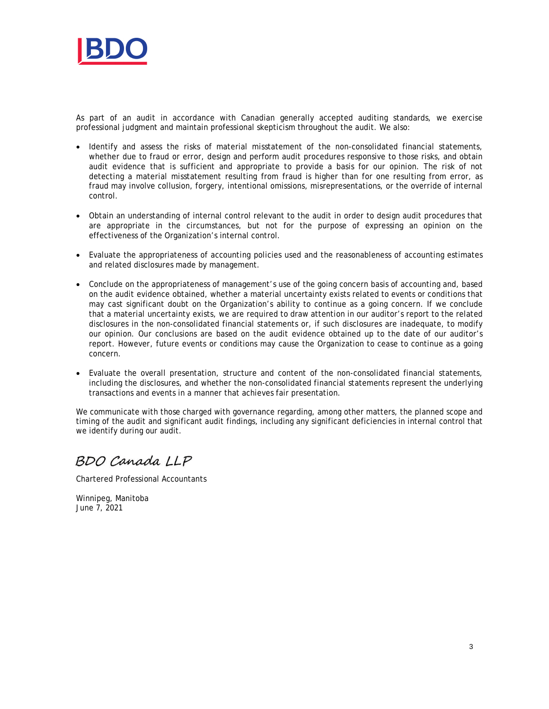

As part of an audit in accordance with Canadian generally accepted auditing standards, we exercise professional judgment and maintain professional skepticism throughout the audit. We also:

- · Identify and assess the risks of material misstatement of the non-consolidated financial statements, whether due to fraud or error, design and perform audit procedures responsive to those risks, and obtain audit evidence that is sufficient and appropriate to provide a basis for our opinion. The risk of not detecting a material misstatement resulting from fraud is higher than for one resulting from error, as fraud may involve collusion, forgery, intentional omissions, misrepresentations, or the override of internal control.
- · Obtain an understanding of internal control relevant to the audit in order to design audit procedures that are appropriate in the circumstances, but not for the purpose of expressing an opinion on the effectiveness of the Organization's internal control.
- · Evaluate the appropriateness of accounting policies used and the reasonableness of accounting estimates and related disclosures made by management.
- · Conclude on the appropriateness of management's use of the going concern basis of accounting and, based on the audit evidence obtained, whether a material uncertainty exists related to events or conditions that may cast significant doubt on the Organization's ability to continue as a going concern. If we conclude that a material uncertainty exists, we are required to draw attention in our auditor's report to the related disclosures in the non-consolidated financial statements or, if such disclosures are inadequate, to modify our opinion. Our conclusions are based on the audit evidence obtained up to the date of our auditor's report. However, future events or conditions may cause the Organization to cease to continue as a going concern.
- · Evaluate the overall presentation, structure and content of the non-consolidated financial statements, including the disclosures, and whether the non-consolidated financial statements represent the underlying transactions and events in a manner that achieves fair presentation.

We communicate with those charged with governance regarding, among other matters, the planned scope and timing of the audit and significant audit findings, including any significant deficiencies in internal control that we identify during our audit.

BDO Canada LLP

Chartered Professional Accountants

Winnipeg, Manitoba June 7, 2021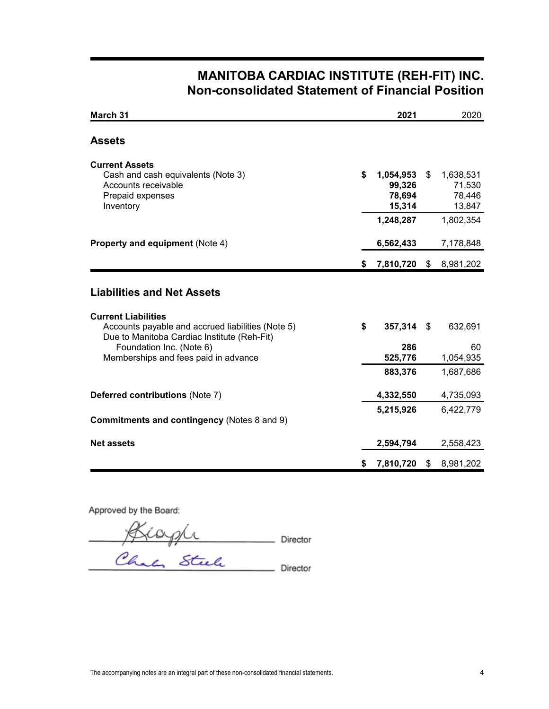# **MANITOBA CARDIAC INSTITUTE (REH-FIT) INC. Non-consolidated Statement of Financial Position**

| March 31                                                                                                                                                                                                                                |    | 2021                                                 |      | 2020                                                 |
|-----------------------------------------------------------------------------------------------------------------------------------------------------------------------------------------------------------------------------------------|----|------------------------------------------------------|------|------------------------------------------------------|
| <b>Assets</b>                                                                                                                                                                                                                           |    |                                                      |      |                                                      |
| <b>Current Assets</b><br>Cash and cash equivalents (Note 3)<br>Accounts receivable<br>Prepaid expenses<br>Inventory                                                                                                                     | \$ | 1,054,953<br>99,326<br>78,694<br>15,314<br>1,248,287 | \$   | 1,638,531<br>71,530<br>78,446<br>13,847<br>1,802,354 |
| <b>Property and equipment (Note 4)</b>                                                                                                                                                                                                  |    | 6,562,433                                            |      | 7,178,848                                            |
|                                                                                                                                                                                                                                         | S. | 7,810,720 \$                                         |      | 8,981,202                                            |
| <b>Liabilities and Net Assets</b><br><b>Current Liabilities</b><br>Accounts payable and accrued liabilities (Note 5)<br>Due to Manitoba Cardiac Institute (Reh-Fit)<br>Foundation Inc. (Note 6)<br>Memberships and fees paid in advance | \$ | 357,314<br>286<br>525,776                            | - \$ | 632,691<br>60<br>1,054,935                           |
| Deferred contributions (Note 7)                                                                                                                                                                                                         |    | 883,376<br>4,332,550                                 |      | 1,687,686<br>4,735,093                               |
| <b>Commitments and contingency (Notes 8 and 9)</b>                                                                                                                                                                                      |    | 5,215,926                                            |      | 6,422,779                                            |
| <b>Net assets</b>                                                                                                                                                                                                                       |    | 2,594,794                                            |      | 2,558,423                                            |
|                                                                                                                                                                                                                                         | S  | 7,810,720                                            | \$   | 8,981,202                                            |

Approved by the Board:

rector rector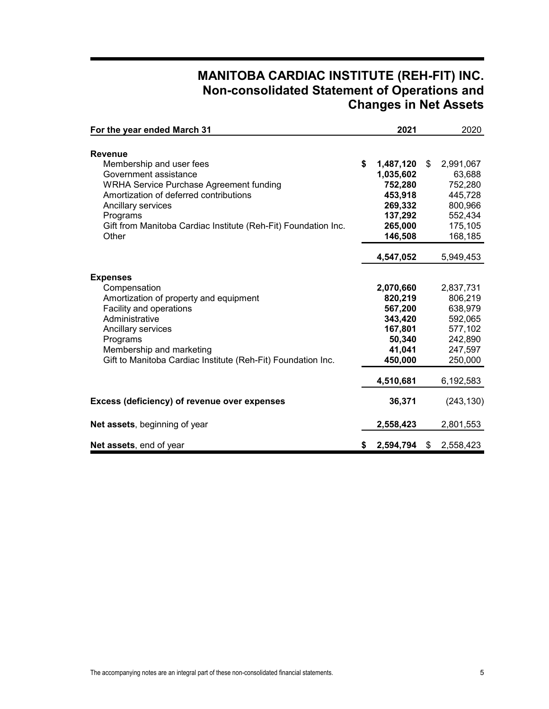# **MANITOBA CARDIAC INSTITUTE (REH-FIT) INC. Non-consolidated Statement of Operations and Changes in Net Assets**

| For the year ended March 31                                    |    | 2021      | 2020            |
|----------------------------------------------------------------|----|-----------|-----------------|
|                                                                |    |           |                 |
| <b>Revenue</b>                                                 |    |           |                 |
| Membership and user fees                                       | \$ | 1,487,120 | \$<br>2,991,067 |
| Government assistance                                          |    | 1,035,602 | 63,688          |
| <b>WRHA Service Purchase Agreement funding</b>                 |    | 752,280   | 752,280         |
| Amortization of deferred contributions                         |    | 453,918   | 445,728         |
| Ancillary services                                             |    | 269,332   | 800,966         |
| Programs                                                       |    | 137,292   | 552,434         |
| Gift from Manitoba Cardiac Institute (Reh-Fit) Foundation Inc. |    | 265,000   | 175,105         |
| Other                                                          |    | 146,508   | 168,185         |
|                                                                |    | 4,547,052 | 5,949,453       |
|                                                                |    |           |                 |
| <b>Expenses</b>                                                |    |           |                 |
| Compensation                                                   |    | 2,070,660 | 2,837,731       |
| Amortization of property and equipment                         |    | 820,219   | 806,219         |
| Facility and operations                                        |    | 567,200   | 638,979         |
| Administrative                                                 |    | 343,420   | 592,065         |
| Ancillary services                                             |    | 167,801   | 577,102         |
| Programs                                                       |    | 50,340    | 242,890         |
| Membership and marketing                                       |    | 41,041    | 247,597         |
| Gift to Manitoba Cardiac Institute (Reh-Fit) Foundation Inc.   |    | 450,000   | 250,000         |
|                                                                |    | 4,510,681 | 6,192,583       |
| Excess (deficiency) of revenue over expenses                   |    | 36,371    | (243, 130)      |
| Net assets, beginning of year                                  |    | 2,558,423 | 2,801,553       |
|                                                                |    |           |                 |
| Net assets, end of year                                        | S. | 2,594,794 | \$<br>2,558,423 |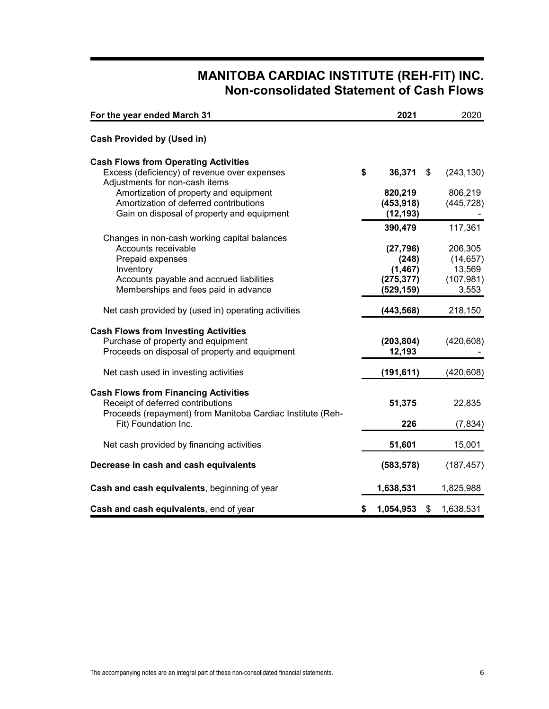# **MANITOBA CARDIAC INSTITUTE (REH-FIT) INC. Non-consolidated Statement of Cash Flows**

| For the year ended March 31                                                    | 2021               | 2020                 |
|--------------------------------------------------------------------------------|--------------------|----------------------|
| <b>Cash Provided by (Used in)</b>                                              |                    |                      |
| <b>Cash Flows from Operating Activities</b>                                    |                    |                      |
| Excess (deficiency) of revenue over expenses<br>Adjustments for non-cash items | \$<br>36,371       | \$<br>(243, 130)     |
| Amortization of property and equipment                                         | 820,219            | 806,219              |
| Amortization of deferred contributions                                         | (453, 918)         | (445, 728)           |
| Gain on disposal of property and equipment                                     | (12, 193)          |                      |
|                                                                                | 390,479            | 117,361              |
| Changes in non-cash working capital balances                                   |                    |                      |
| Accounts receivable<br>Prepaid expenses                                        | (27, 796)<br>(248) | 206,305<br>(14, 657) |
| Inventory                                                                      | (1, 467)           | 13,569               |
| Accounts payable and accrued liabilities                                       | (275, 377)         | (107, 981)           |
| Memberships and fees paid in advance                                           | (529, 159)         | 3,553                |
| Net cash provided by (used in) operating activities                            | (443, 568)         | 218,150              |
| <b>Cash Flows from Investing Activities</b>                                    |                    |                      |
| Purchase of property and equipment                                             | (203, 804)         | (420, 608)           |
| Proceeds on disposal of property and equipment                                 | 12,193             |                      |
| Net cash used in investing activities                                          | (191, 611)         | (420, 608)           |
| <b>Cash Flows from Financing Activities</b>                                    |                    |                      |
| Receipt of deferred contributions                                              | 51,375             | 22,835               |
| Proceeds (repayment) from Manitoba Cardiac Institute (Reh-                     |                    |                      |
| Fit) Foundation Inc.                                                           | 226                | (7, 834)             |
| Net cash provided by financing activities                                      | 51,601             | 15,001               |
| Decrease in cash and cash equivalents                                          | (583, 578)         | (187, 457)           |
| Cash and cash equivalents, beginning of year                                   | 1,638,531          | 1,825,988            |
| Cash and cash equivalents, end of year                                         | \$<br>1,054,953    | \$<br>1,638,531      |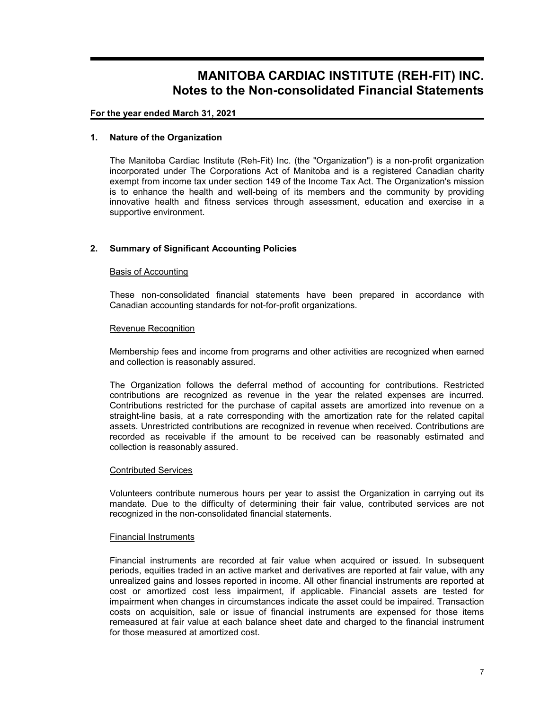## **For the year ended March 31, 2021**

## **1. Nature of the Organization**

The Manitoba Cardiac Institute (Reh-Fit) Inc. (the "Organization") is a non-profit organization incorporated under The Corporations Act of Manitoba and is a registered Canadian charity exempt from income tax under section 149 of the Income Tax Act. The Organization's mission is to enhance the health and well-being of its members and the community by providing innovative health and fitness services through assessment, education and exercise in a supportive environment.

## **2. Summary of Significant Accounting Policies**

## Basis of Accounting

These non-consolidated financial statements have been prepared in accordance with Canadian accounting standards for not-for-profit organizations.

#### Revenue Recognition

Membership fees and income from programs and other activities are recognized when earned and collection is reasonably assured.

The Organization follows the deferral method of accounting for contributions. Restricted contributions are recognized as revenue in the year the related expenses are incurred. Contributions restricted for the purchase of capital assets are amortized into revenue on a straight-line basis, at a rate corresponding with the amortization rate for the related capital assets. Unrestricted contributions are recognized in revenue when received. Contributions are recorded as receivable if the amount to be received can be reasonably estimated and collection is reasonably assured.

## Contributed Services

Volunteers contribute numerous hours per year to assist the Organization in carrying out its mandate. Due to the difficulty of determining their fair value, contributed services are not recognized in the non-consolidated financial statements.

#### Financial Instruments

Financial instruments are recorded at fair value when acquired or issued. In subsequent periods, equities traded in an active market and derivatives are reported at fair value, with any unrealized gains and losses reported in income. All other financial instruments are reported at cost or amortized cost less impairment, if applicable. Financial assets are tested for impairment when changes in circumstances indicate the asset could be impaired. Transaction costs on acquisition, sale or issue of financial instruments are expensed for those items remeasured at fair value at each balance sheet date and charged to the financial instrument for those measured at amortized cost.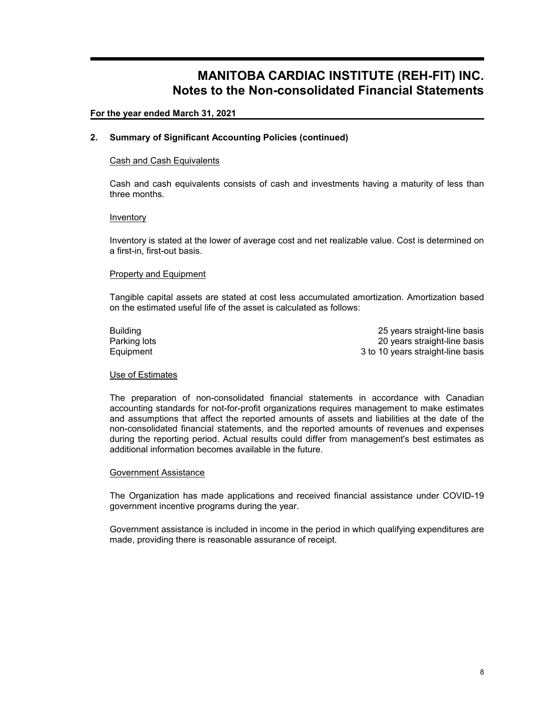## **For the year ended March 31, 2021**

## **2. Summary of Significant Accounting Policies (continued)**

## Cash and Cash Equivalents

Cash and cash equivalents consists of cash and investments having a maturity of less than three months.

## Inventory

Inventory is stated at the lower of average cost and net realizable value. Cost is determined on a first-in, first-out basis.

#### Property and Equipment

Tangible capital assets are stated at cost less accumulated amortization. Amortization based on the estimated useful life of the asset is calculated as follows:

Building 25 years straight-line basis Parking lots **20** years straight-line basis Equipment 3 to 10 years straight-line basis

## Use of Estimates

The preparation of non-consolidated financial statements in accordance with Canadian accounting standards for not-for-profit organizations requires management to make estimates and assumptions that affect the reported amounts of assets and liabilities at the date of the non-consolidated financial statements, and the reported amounts of revenues and expenses during the reporting period. Actual results could differ from management's best estimates as additional information becomes available in the future.

#### Government Assistance

The Organization has made applications and received financial assistance under COVID-19 government incentive programs during the year.

Government assistance is included in income in the period in which qualifying expenditures are made, providing there is reasonable assurance of receipt.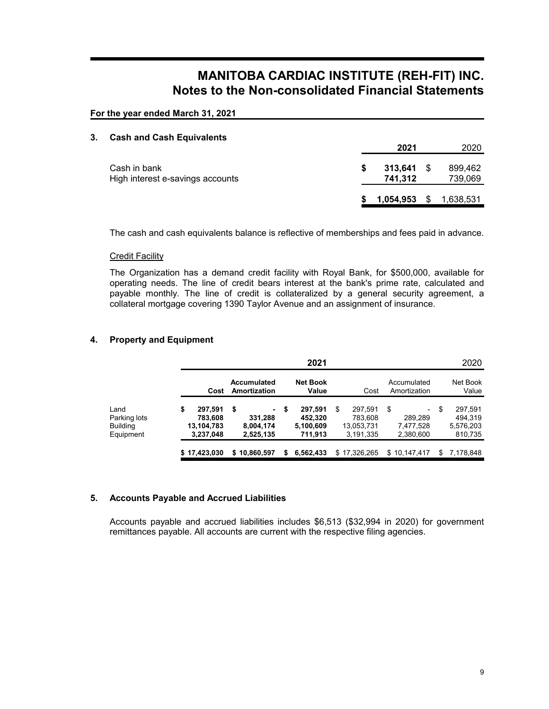**For the year ended March 31, 2021**

#### **3. Cash and Cash Equivalents**

|                                                  |      | 2021                    | 2020               |
|--------------------------------------------------|------|-------------------------|--------------------|
| Cash in bank<br>High interest e-savings accounts | - 56 | $313,641$ \$<br>741.312 | 899,462<br>739,069 |
|                                                  |      | $1,054,953$ \$          | 1,638,531          |

The cash and cash equivalents balance is reflective of memberships and fees paid in advance.

## Credit Facility

The Organization has a demand credit facility with Royal Bank, for \$500,000, available for operating needs. The line of credit bears interest at the bank's prime rate, calculated and payable monthly. The line of credit is collateralized by a general security agreement, a collateral mortgage covering 1390 Taylor Avenue and an assignment of insurance.

## **4. Property and Equipment**

|                                               |                                                     |                                               |    | 2021                                       |   |                                               |                                         | 2020                                             |
|-----------------------------------------------|-----------------------------------------------------|-----------------------------------------------|----|--------------------------------------------|---|-----------------------------------------------|-----------------------------------------|--------------------------------------------------|
|                                               | Cost                                                | Accumulated<br>Amortization                   |    | <b>Net Book</b><br>Value                   |   | Cost                                          | Accumulated<br>Amortization             | Net Book<br>Value                                |
| Land<br>Parking lots<br>Building<br>Equipment | \$<br>297,591<br>783,608<br>13,104,783<br>3,237,048 | \$<br>۰.<br>331,288<br>8,004,174<br>2,525,135 | \$ | 297,591<br>452.320<br>5,100,609<br>711.913 | S | 297.591<br>783.608<br>13,053,731<br>3.191.335 | \$<br>289.289<br>7,477,528<br>2,380,600 | \$<br>297,591<br>494.319<br>5,576,203<br>810,735 |
|                                               | \$17,423,030                                        | \$10,860,597                                  | S  | 6,562,433                                  |   | \$17,326,265                                  | \$10,147,417                            | \$<br>7,178,848                                  |

## **5. Accounts Payable and Accrued Liabilities**

Accounts payable and accrued liabilities includes \$6,513 (\$32,994 in 2020) for government remittances payable. All accounts are current with the respective filing agencies.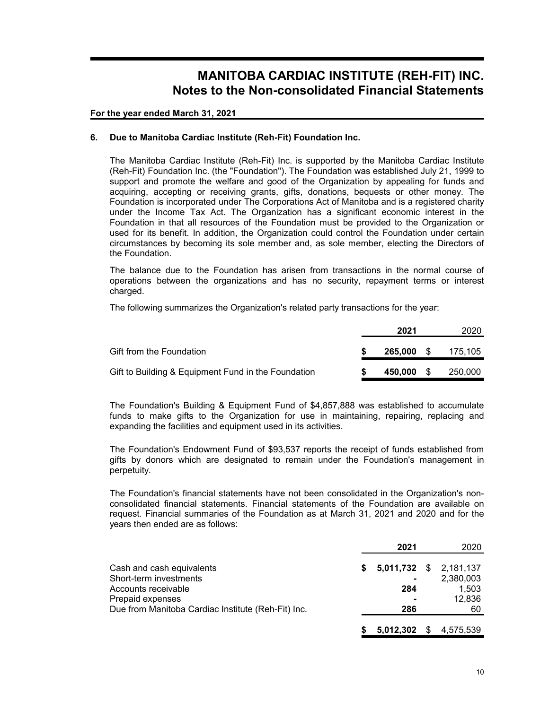**For the year ended March 31, 2021**

## **6. Due to Manitoba Cardiac Institute (Reh-Fit) Foundation Inc.**

The Manitoba Cardiac Institute (Reh-Fit) Inc. is supported by the Manitoba Cardiac Institute (Reh-Fit) Foundation Inc. (the "Foundation"). The Foundation was established July 21, 1999 to support and promote the welfare and good of the Organization by appealing for funds and acquiring, accepting or receiving grants, gifts, donations, bequests or other money. The Foundation is incorporated under The Corporations Act of Manitoba and is a registered charity under the Income Tax Act. The Organization has a significant economic interest in the Foundation in that all resources of the Foundation must be provided to the Organization or used for its benefit. In addition, the Organization could control the Foundation under certain circumstances by becoming its sole member and, as sole member, electing the Directors of the Foundation.

The balance due to the Foundation has arisen from transactions in the normal course of operations between the organizations and has no security, repayment terms or interest charged.

The following summarizes the Organization's related party transactions for the year:

|                                                     | 2021         | 2020    |
|-----------------------------------------------------|--------------|---------|
| Gift from the Foundation                            | $265,000$ \$ | 175.105 |
| Gift to Building & Equipment Fund in the Foundation | 450,000 \$   | 250,000 |

The Foundation's Building & Equipment Fund of \$4,857,888 was established to accumulate funds to make gifts to the Organization for use in maintaining, repairing, replacing and expanding the facilities and equipment used in its activities.

The Foundation's Endowment Fund of \$93,537 reports the receipt of funds established from gifts by donors which are designated to remain under the Foundation's management in perpetuity.

The Foundation's financial statements have not been consolidated in the Organization's nonconsolidated financial statements. Financial statements of the Foundation are available on request. Financial summaries of the Foundation as at March 31, 2021 and 2020 and for the years then ended are as follows:

|                                                    |    | 2021                     | 2020      |
|----------------------------------------------------|----|--------------------------|-----------|
| Cash and cash equivalents                          | S. | $5,011,732$ \$ 2,181,137 |           |
| Short-term investments                             |    |                          | 2,380,003 |
| Accounts receivable                                |    | 284                      | 1,503     |
| Prepaid expenses                                   |    |                          | 12,836    |
| Due from Manitoba Cardiac Institute (Reh-Fit) Inc. |    | 286                      | 60        |
|                                                    |    | $5,012,302$ \$           | 4,575,539 |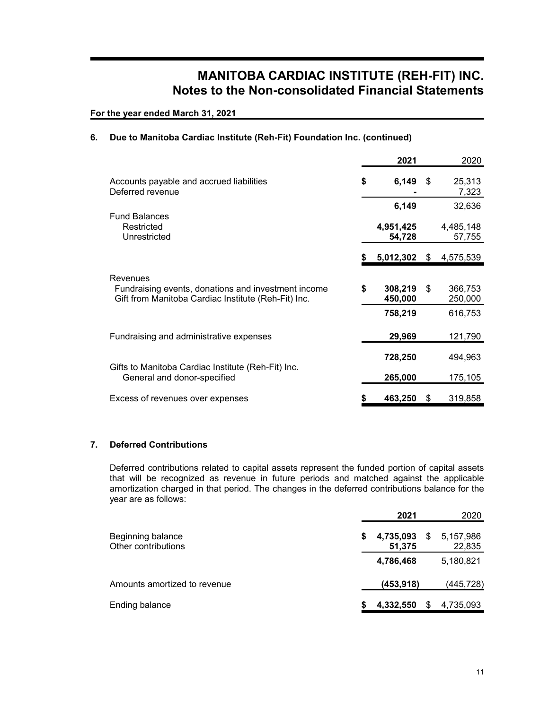**For the year ended March 31, 2021**

## **6. Due to Manitoba Cardiac Institute (Reh-Fit) Foundation Inc. (continued)**

|                                                                                                                        |    | 2021                |      | 2020                |
|------------------------------------------------------------------------------------------------------------------------|----|---------------------|------|---------------------|
| Accounts payable and accrued liabilities<br>Deferred revenue                                                           | \$ | 6,149               | - \$ | 25,313<br>7,323     |
|                                                                                                                        |    | 6,149               |      | 32,636              |
| <b>Fund Balances</b><br>Restricted<br>Unrestricted                                                                     |    | 4,951,425<br>54,728 |      | 4,485,148<br>57,755 |
|                                                                                                                        | S  | 5,012,302           | S    | 4,575,539           |
| Revenues<br>Fundraising events, donations and investment income<br>Gift from Manitoba Cardiac Institute (Reh-Fit) Inc. | \$ | 308,219<br>450,000  | \$   | 366,753<br>250,000  |
|                                                                                                                        |    | 758,219             |      | 616,753             |
| Fundraising and administrative expenses                                                                                |    | 29,969              |      | 121,790             |
|                                                                                                                        |    | 728,250             |      | 494,963             |
| Gifts to Manitoba Cardiac Institute (Reh-Fit) Inc.<br>General and donor-specified                                      |    | 265,000             |      | 175,105             |
| Excess of revenues over expenses                                                                                       |    | 463,250             | \$   | 319,858             |

## **7. Deferred Contributions**

Deferred contributions related to capital assets represent the funded portion of capital assets that will be recognized as revenue in future periods and matched against the applicable amortization charged in that period. The changes in the deferred contributions balance for the year are as follows:

| 2021                      | 2020                      |
|---------------------------|---------------------------|
| \$<br>4,735,093<br>51,375 | \$<br>5,157,986<br>22,835 |
| 4,786,468                 | 5,180,821                 |
| (453, 918)                | (445,728)                 |
| 4,332,550                 | 4,735,093                 |
|                           |                           |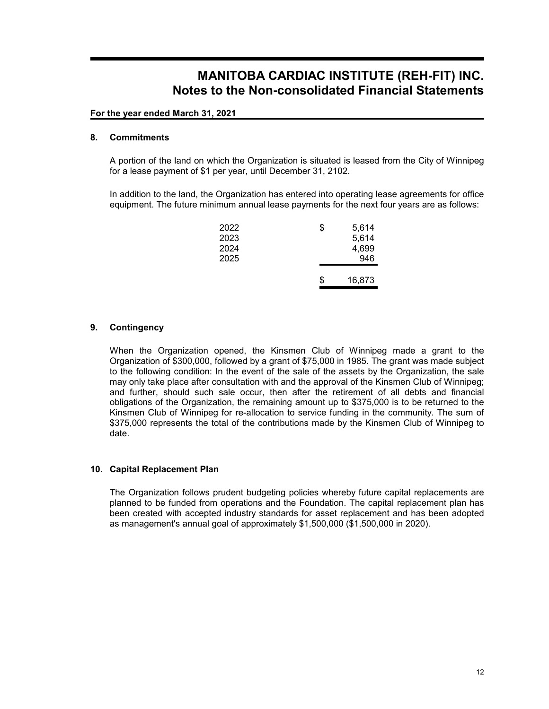## **For the year ended March 31, 2021**

## **8. Commitments**

A portion of the land on which the Organization is situated is leased from the City of Winnipeg for a lease payment of \$1 per year, until December 31, 2102.

In addition to the land, the Organization has entered into operating lease agreements for office equipment. The future minimum annual lease payments for the next four years are as follows:

| \$<br>5,614  |
|--------------|
| 5,614        |
| 4,699        |
| 946          |
|              |
| \$<br>16,873 |
|              |

## **9. Contingency**

When the Organization opened, the Kinsmen Club of Winnipeg made a grant to the Organization of \$300,000, followed by a grant of \$75,000 in 1985. The grant was made subject to the following condition: In the event of the sale of the assets by the Organization, the sale may only take place after consultation with and the approval of the Kinsmen Club of Winnipeg; and further, should such sale occur, then after the retirement of all debts and financial obligations of the Organization, the remaining amount up to \$375,000 is to be returned to the Kinsmen Club of Winnipeg for re-allocation to service funding in the community. The sum of \$375,000 represents the total of the contributions made by the Kinsmen Club of Winnipeg to date.

## **10. Capital Replacement Plan**

The Organization follows prudent budgeting policies whereby future capital replacements are planned to be funded from operations and the Foundation. The capital replacement plan has been created with accepted industry standards for asset replacement and has been adopted as management's annual goal of approximately \$1,500,000 (\$1,500,000 in 2020).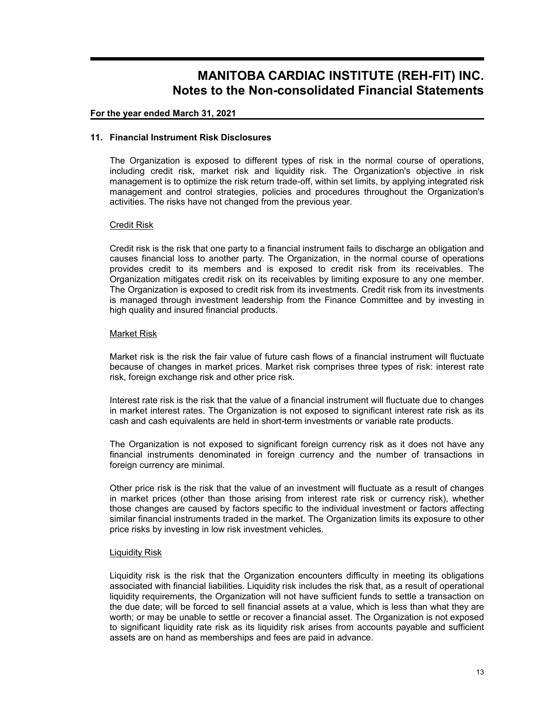## **For the year ended March 31, 2021**

## **11. Financial Instrument Risk Disclosures**

The Organization is exposed to different types of risk in the normal course of operations, including credit risk, market risk and liquidity risk. The Organization's objective in risk management is to optimize the risk return trade-off, within set limits, by applying integrated risk management and control strategies, policies and procedures throughout the Organization's activities. The risks have not changed from the previous year.

## Credit Risk

Credit risk is the risk that one party to a financial instrument fails to discharge an obligation and causes financial loss to another party. The Organization, in the normal course of operations provides credit to its members and is exposed to credit risk from its receivables. The Organization mitigates credit risk on its receivables by limiting exposure to any one member. The Organization is exposed to credit risk from its investments. Credit risk from its investments is managed through investment leadership from the Finance Committee and by investing in high quality and insured financial products.

## Market Risk

Market risk is the risk the fair value of future cash flows of a financial instrument will fluctuate because of changes in market prices. Market risk comprises three types of risk: interest rate risk, foreign exchange risk and other price risk.

Interest rate risk is the risk that the value of a financial instrument will fluctuate due to changes in market interest rates. The Organization is not exposed to significant interest rate risk as its cash and cash equivalents are held in short-term investments or variable rate products.

The Organization is not exposed to significant foreign currency risk as it does not have any financial instruments denominated in foreign currency and the number of transactions in foreign currency are minimal.

Other price risk is the risk that the value of an investment will fluctuate as a result of changes in market prices (other than those arising from interest rate risk or currency risk), whether those changes are caused by factors specific to the individual investment or factors affecting similar financial instruments traded in the market. The Organization limits its exposure to other price risks by investing in low risk investment vehicles.

## Liquidity Risk

Liquidity risk is the risk that the Organization encounters difficulty in meeting its obligations associated with financial liabilities. Liquidity risk includes the risk that, as a result of operational liquidity requirements, the Organization will not have sufficient funds to settle a transaction on the due date; will be forced to sell financial assets at a value, which is less than what they are worth; or may be unable to settle or recover a financial asset. The Organization is not exposed to significant liquidity rate risk as its liquidity risk arises from accounts payable and sufficient assets are on hand as memberships and fees are paid in advance.